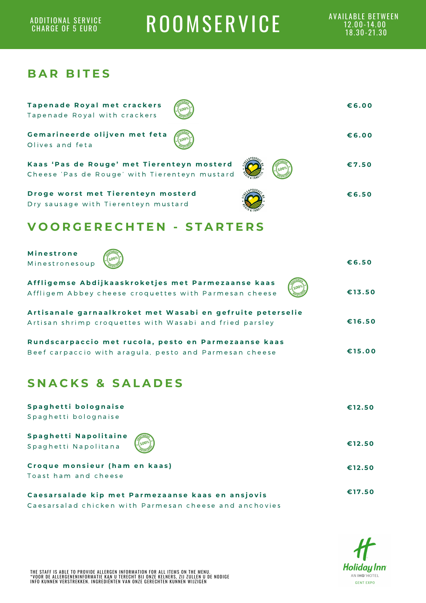#### ADDIIIONAL SERVICE CHARGE OF 5 EURO

**ROOMSERVICE** 

### **BAR BITES**

| <b>Tapenade Royal met crackers</b><br>Tapenade Royal with crackers                                                    | €6.00  |
|-----------------------------------------------------------------------------------------------------------------------|--------|
| Gemarineerde olijven met feta<br>Olives and feta                                                                      | €6.00  |
| Kaas 'Pas de Rouge' met Tierenteyn mosterd<br>Cheese 'Pas de Rouge' with Tierenteyn mustard                           | €7.50  |
| Droge worst met Tierenteyn mosterd<br>Dry sausage with Tierenteyn mustard                                             | €6.50  |
| <b>VOORGERECHTEN - STARTERS</b>                                                                                       |        |
| <b>Minestrone</b><br>Minestronesoup                                                                                   | €6.50  |
| Affligemse Abdijkaaskroketjes met Parmezaanse kaas<br>Affligem Abbey cheese croquettes with Parmesan cheese           | €13.50 |
| Artisanale garnaalkroket met Wasabi en gefruite peterselie<br>Artisan shrimp croquettes with Wasabi and fried parsley | €16.50 |
| Rundscarpaccio met rucola, pesto en Parmezaanse kaas<br>Beef carpaccio with aragula, pesto and Parmesan cheese        | €15.00 |
| <b>SNACKS &amp; SALADES</b>                                                                                           |        |

| Spaghetti bolognaise<br>Spaghetti bolognaise          | €12.50 |
|-------------------------------------------------------|--------|
| Spaghetti Napolitaine                                 | €12.50 |
| Croque monsieur (ham en kaas)<br>Toast ham and cheese | €12.50 |
| Caesarsalade kip met Parmezaanse kaas en ansjovis     | €17.50 |

Caesarsalad chicken with Parmesan cheese and anchovies



THE STAFF IS ABLE TO PROVIDE ALLERGEN INFORMATION FOR ALL ITEMS ON THE MENU.<br>\*VOOR DE ALLERGENENINFORMATIE KAN U TERECHT BIJ ONZE KELNERS, ZIJ ZULLEN U DE NODIGE<br>INFO KUNNEN VERSTREKKEN. INGREDIËNTEN VAN ONZE GERECHTEN KUN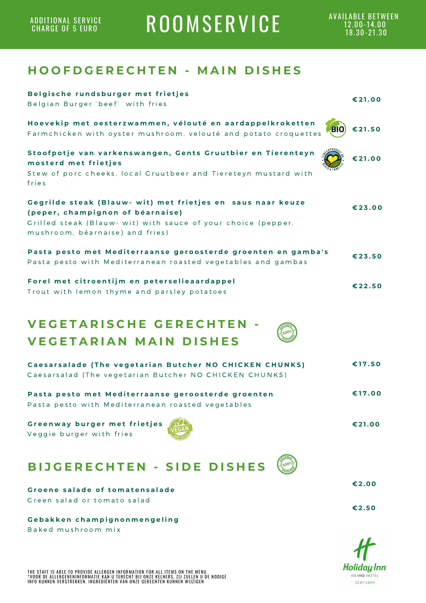#### ADDIIIONAL SERVICE CHARGE OF 5 EURO

# **ROOMSERVICE**

### **H O O F D G E R E C H T E N - M A I N D I S H E S**

| Belgische rundsburger met frietjes<br>Belgian Burger 'beef' with fries                                                                                                                              | € $21.00$ |
|-----------------------------------------------------------------------------------------------------------------------------------------------------------------------------------------------------|-----------|
| Hoevekip met oesterzwammen, vélouté en aardappelkroketten<br><b>BIO</b><br>Farmchicken with oyster mushroom, velouté and potato croquettes                                                          | €21.50    |
| Stoofpotje van varkenswangen, Gents Gruutbier en Tierenteyn<br>mosterd met frietjes<br>Stew of porc cheeks, local Gruutbeer and Tiereteyn mustard with<br>fries                                     | €21.00    |
| Gegrilde steak (Blauw- wit) met frietjes en saus naar keuze<br>(peper, champignon of béarnaise)<br>Grilled steak (Blauw- wit) with sauce of your choice (pepper,<br>mushroom, béarnaise) and fries) | € $23.00$ |
| Pasta pesto met Mediterraanse geroosterde groenten en gamba's<br>Pasta pesto with Mediterranean roasted vegetables and gambas                                                                       | €23.50    |
| Forel met citroentijm en peterselieaardappel<br>Trout with lemon thyme and parsley potatoes                                                                                                         | €22.50    |
|                                                                                                                                                                                                     |           |
| <b>VEGETARISCHE GERECHTEN</b><br><b>VEGETARIAN MAIN DISHES</b>                                                                                                                                      |           |
| Caesarsalade (The vegetarian Butcher NO CHICKEN CHUNKS)<br>Caesarsalad (The vegetarian Butcher NO CHICKEN CHUNKS)                                                                                   | €17.50    |
| Pasta pesto met Mediterraanse geroosterde groenten<br>Pasta pesto with Mediterranean roasted vegetables                                                                                             | €17.00    |
| Greenway burger met frietjes<br>Veggie burger with fries                                                                                                                                            | €21.00    |
| <b>BIJGERECHTEN - SIDE DISHES</b>                                                                                                                                                                   |           |
| Groene salade of tomatensalade<br>Green salad or tomato salad                                                                                                                                       | €2.00     |
| Gebakken champignonmengeling<br>Baked mushroom mix                                                                                                                                                  | €2.50     |



THE STAFF IS ABLE TO PROVIDE ALLERGEN INFORMATION FOR ALL ITEMS ON THE MENU.<br>\*VOOR DE ALLERGENENINFORMATIE KAN U TERECHT BIJ ONZE KELNERS, ZIJ ZULLEN U DE NODIGE<br>INFO KUNNEN VERSTREKKEN. INGREDIËNTEN VAN ONZE GERECHTEN KUN